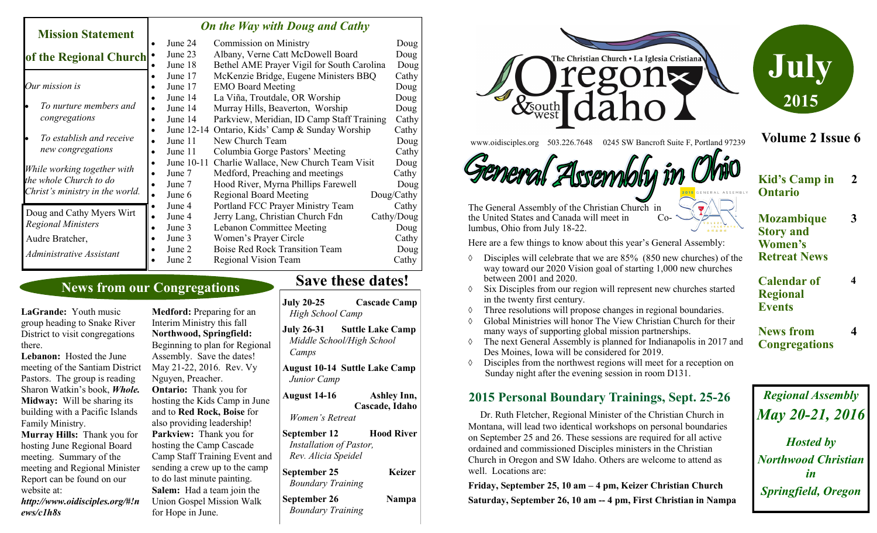#### **Mission Statement of the Regional Church** *On the Way with Doug and Cathy* June 24 Commission on Ministry Doug June 23 Albany, Verne Catt McDowell Board Doug June 18 Bethel AME Prayer Vigil for South Carolina Doug

|                                                                                          | $\bullet$ | June 17    | McKenzie Bridge, Eugene Ministers BBQ           | Cathy      |
|------------------------------------------------------------------------------------------|-----------|------------|-------------------------------------------------|------------|
| Our mission is                                                                           | ٠         | June 17    | <b>EMO Board Meeting</b>                        | Doug       |
| To nurture members and<br>congregations                                                  |           | June 14    | La Viña, Troutdale, OR Worship                  | Doug       |
|                                                                                          | $\bullet$ | June 14    | Murray Hills, Beaverton, Worship                | Doug       |
|                                                                                          | ٠         | June 14    | Parkview, Meridian, ID Camp Staff Training      | Cathy      |
| To establish and receive<br>new congregations                                            |           |            | June 12-14 Ontario, Kids' Camp & Sunday Worship | Cathy      |
|                                                                                          | $\bullet$ | June 11    | New Church Team                                 | Doug       |
|                                                                                          |           | June 11    | Columbia Gorge Pastors' Meeting                 | Cathy      |
| While working together with<br>the whole Church to do<br>Christ's ministry in the world. |           | June 10-11 | Charlie Wallace, New Church Team Visit          | Doug       |
|                                                                                          | $\bullet$ | June 7     | Medford, Preaching and meetings                 | Cathy      |
|                                                                                          |           | June 7     | Hood River, Myrna Phillips Farewell             | Doug       |
|                                                                                          |           | June 6     | <b>Regional Board Meeting</b>                   | Doug/Cathy |
| Doug and Cathy Myers Wirt<br><b>Regional Ministers</b>                                   |           | June 4     | Portland FCC Prayer Ministry Team               | Cathy      |
|                                                                                          | $\bullet$ | June 4     | Jerry Lang, Christian Church Fdn                | Cathy/Doug |
|                                                                                          | ٠         | June 3     | <b>Lebanon Committee Meeting</b>                | Doug       |
| Audre Bratcher,                                                                          |           | June 3     | Women's Prayer Circle                           | Cathy      |
| Administrative Assistant                                                                 |           | June 2     | <b>Boise Red Rock Transition Team</b>           | Doug       |
|                                                                                          |           | June 2     | Regional Vision Team                            | Cathy      |
|                                                                                          |           |            |                                                 |            |

## **News from our Congregations**

**LaGrande:** Youth music group heading to Snake River District to visit congregations there.

**Lebanon:** Hosted the June meeting of the Santiam District Pastors. The group is reading Sharon Watkin's book, *Whole.* **Midway:** Will be sharing its building with a Pacific Islands Family Ministry.

**Murray Hills:** Thank you for hosting June Regional Board meeting. Summary of the meeting and Regional Minister Report can be found on our website at:

*http://www.oidisciples.org/#!n ews/c1h8s*

**Medford:** Preparing for an Interim Ministry this fall **Northwood, Springfield:**  Beginning to plan for Regional Assembly. Save the dates! May 21-22, 2016. Rev. Vy Nguyen, Preacher. **Ontario:** Thank you for hosting the Kids Camp in June and to **Red Rock, Boise** for also providing leadership! **Parkview:** Thank you for hosting the Camp Cascade Camp Staff Training Event and sending a crew up to the camp to do last minute painting. **Salem:** Had a team join the Union Gospel Mission Walk for Hope in June.

# **Save these dates!**

**July 20-25 Cascade Camp** *High School Camp* **July 26-31 Suttle Lake Camp** *Middle School/High School Camps* **August 10-14 Suttle Lake Camp** *Junior Camp* **August 14-16 Ashley Inn, Cascade, Idaho** *Women's Retreat* **September 12 Hood River**  *Installation of Pastor, Rev. Alicia Speidel* **September 25 Keizer** *Boundary Training*  **September 26 Nampa** *Boundary Training*